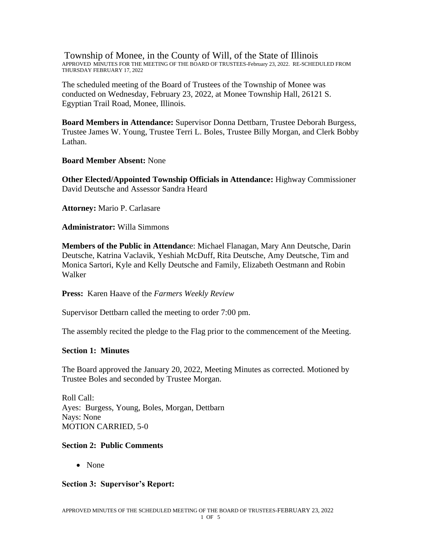Township of Monee, in the County of Will, of the State of Illinois APPROVED MINUTES FOR THE MEETING OF THE BOARD OF TRUSTEES-February 23, 2022. RE-SCHEDULED FROM THURSDAY FEBRUARY 17, 2022

The scheduled meeting of the Board of Trustees of the Township of Monee was conducted on Wednesday, February 23, 2022, at Monee Township Hall, 26121 S. Egyptian Trail Road, Monee, Illinois.

**Board Members in Attendance:** Supervisor Donna Dettbarn, Trustee Deborah Burgess, Trustee James W. Young, Trustee Terri L. Boles, Trustee Billy Morgan, and Clerk Bobby Lathan.

**Board Member Absent:** None

**Other Elected/Appointed Township Officials in Attendance:** Highway Commissioner David Deutsche and Assessor Sandra Heard

**Attorney:** Mario P. Carlasare

**Administrator:** Willa Simmons

**Members of the Public in Attendanc**e: Michael Flanagan, Mary Ann Deutsche, Darin Deutsche, Katrina Vaclavik, Yeshiah McDuff, Rita Deutsche, Amy Deutsche, Tim and Monica Sartori, Kyle and Kelly Deutsche and Family, Elizabeth Oestmann and Robin Walker

**Press:** Karen Haave of the *Farmers Weekly Review*

Supervisor Dettbarn called the meeting to order 7:00 pm.

The assembly recited the pledge to the Flag prior to the commencement of the Meeting.

### **Section 1: Minutes**

The Board approved the January 20, 2022, Meeting Minutes as corrected. Motioned by Trustee Boles and seconded by Trustee Morgan.

Roll Call: Ayes: Burgess, Young, Boles, Morgan, Dettbarn Nays: None MOTION CARRIED, 5-0

#### **Section 2: Public Comments**

• None

### **Section 3: Supervisor's Report:**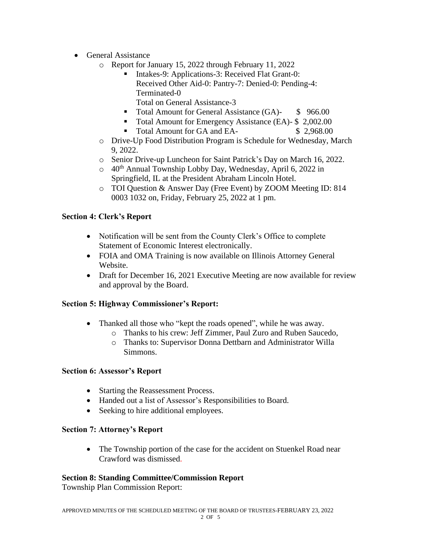- General Assistance
	- o Report for January 15, 2022 through February 11, 2022
		- Intakes-9: Applications-3: Received Flat Grant-0: Received Other Aid-0: Pantry-7: Denied-0: Pending-4: Terminated-0
			- Total on General Assistance-3
		- Total Amount for General Assistance (GA)- \$ 966.00
		- Total Amount for Emergency Assistance (EA)- \$ 2,002.00
		- Total Amount for GA and EA- \$ 2,968.00
	- o Drive-Up Food Distribution Program is Schedule for Wednesday, March 9, 2022.
	- o Senior Drive-up Luncheon for Saint Patrick's Day on March 16, 2022.
	- o 40th Annual Township Lobby Day, Wednesday, April 6, 2022 in Springfield, IL at the President Abraham Lincoln Hotel.
	- o TOI Question & Answer Day (Free Event) by ZOOM Meeting ID: 814 0003 1032 on, Friday, February 25, 2022 at 1 pm.

# **Section 4: Clerk's Report**

- Notification will be sent from the County Clerk's Office to complete Statement of Economic Interest electronically.
- FOIA and OMA Training is now available on Illinois Attorney General Website.
- Draft for December 16, 2021 Executive Meeting are now available for review and approval by the Board.

# **Section 5: Highway Commissioner's Report:**

- Thanked all those who "kept the roads opened", while he was away.
	- o Thanks to his crew: Jeff Zimmer, Paul Zuro and Ruben Saucedo,
	- o Thanks to: Supervisor Donna Dettbarn and Administrator Willa Simmons.

### **Section 6: Assessor's Report**

- Starting the Reassessment Process.
- Handed out a list of Assessor's Responsibilities to Board.
- Seeking to hire additional employees.

### **Section 7: Attorney's Report**

• The Township portion of the case for the accident on Stuenkel Road near Crawford was dismissed.

### **Section 8: Standing Committee/Commission Report**

Township Plan Commission Report: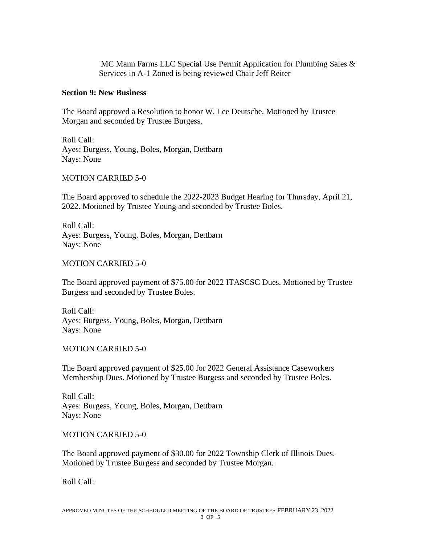MC Mann Farms LLC Special Use Permit Application for Plumbing Sales & Services in A-1 Zoned is being reviewed Chair Jeff Reiter

#### **Section 9: New Business**

The Board approved a Resolution to honor W. Lee Deutsche. Motioned by Trustee Morgan and seconded by Trustee Burgess.

Roll Call: Ayes: Burgess, Young, Boles, Morgan, Dettbarn Nays: None

MOTION CARRIED 5-0

The Board approved to schedule the 2022-2023 Budget Hearing for Thursday, April 21, 2022. Motioned by Trustee Young and seconded by Trustee Boles.

Roll Call: Ayes: Burgess, Young, Boles, Morgan, Dettbarn Nays: None

### MOTION CARRIED 5-0

The Board approved payment of \$75.00 for 2022 ITASCSC Dues. Motioned by Trustee Burgess and seconded by Trustee Boles.

Roll Call: Ayes: Burgess, Young, Boles, Morgan, Dettbarn Nays: None

MOTION CARRIED 5-0

The Board approved payment of \$25.00 for 2022 General Assistance Caseworkers Membership Dues. Motioned by Trustee Burgess and seconded by Trustee Boles.

Roll Call: Ayes: Burgess, Young, Boles, Morgan, Dettbarn Nays: None

MOTION CARRIED 5-0

The Board approved payment of \$30.00 for 2022 Township Clerk of Illinois Dues. Motioned by Trustee Burgess and seconded by Trustee Morgan.

Roll Call: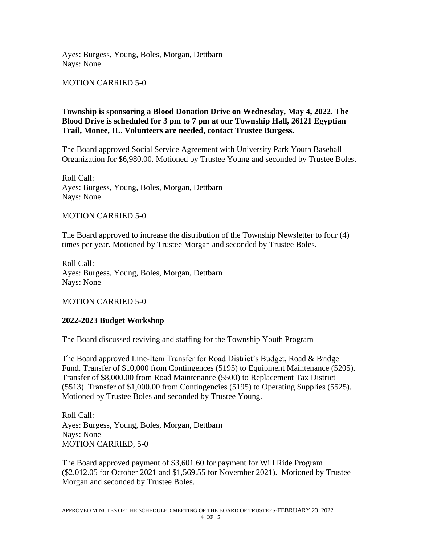Ayes: Burgess, Young, Boles, Morgan, Dettbarn Nays: None

MOTION CARRIED 5-0

# **Township is sponsoring a Blood Donation Drive on Wednesday, May 4, 2022. The Blood Drive is scheduled for 3 pm to 7 pm at our Township Hall, 26121 Egyptian Trail, Monee, IL. Volunteers are needed, contact Trustee Burgess.**

The Board approved Social Service Agreement with University Park Youth Baseball Organization for \$6,980.00. Motioned by Trustee Young and seconded by Trustee Boles.

Roll Call: Ayes: Burgess, Young, Boles, Morgan, Dettbarn Nays: None

### MOTION CARRIED 5-0

The Board approved to increase the distribution of the Township Newsletter to four (4) times per year. Motioned by Trustee Morgan and seconded by Trustee Boles.

Roll Call: Ayes: Burgess, Young, Boles, Morgan, Dettbarn Nays: None

MOTION CARRIED 5-0

### **2022-2023 Budget Workshop**

The Board discussed reviving and staffing for the Township Youth Program

The Board approved Line-Item Transfer for Road District's Budget, Road & Bridge Fund. Transfer of \$10,000 from Contingences (5195) to Equipment Maintenance (5205). Transfer of \$8,000.00 from Road Maintenance (5500) to Replacement Tax District (5513). Transfer of \$1,000.00 from Contingencies (5195) to Operating Supplies (5525). Motioned by Trustee Boles and seconded by Trustee Young.

Roll Call: Ayes: Burgess, Young, Boles, Morgan, Dettbarn Nays: None MOTION CARRIED, 5-0

The Board approved payment of \$3,601.60 for payment for Will Ride Program (\$2,012.05 for October 2021 and \$1,569.55 for November 2021). Motioned by Trustee Morgan and seconded by Trustee Boles.